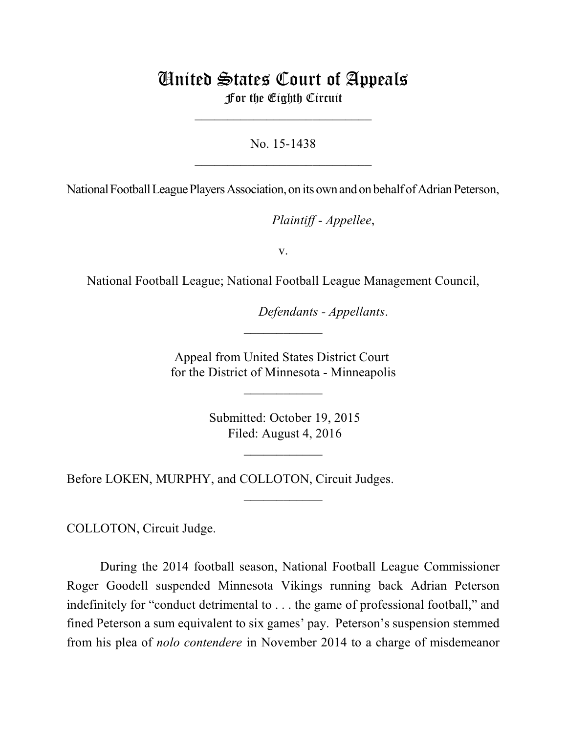## United States Court of Appeals For the Eighth Circuit

\_\_\_\_\_\_\_\_\_\_\_\_\_\_\_\_\_\_\_\_\_\_\_\_\_\_\_

No. 15-1438  $\mathcal{L}_\text{max}$  , which is a set of the set of the set of the set of the set of the set of the set of the set of the set of the set of the set of the set of the set of the set of the set of the set of the set of the set of

National Football League Players Association, on its own and on behalf of Adrian Peterson,

*Plaintiff - Appellee,* 

v.

National Football League; National Football League Management Council,

*Defendants - Appellants.* 

Appeal from United States District Court for the District of Minnesota - Minneapolis

\_\_\_\_\_\_\_\_\_\_\_\_

 $\frac{1}{2}$ 

 Submitted: October 19, 2015 Filed: August 4, 2016

 $\frac{1}{2}$ 

 $\overline{\phantom{a}}$  , where  $\overline{\phantom{a}}$ 

Before LOKEN, MURPHY, and COLLOTON, Circuit Judges.

COLLOTON, Circuit Judge.

During the 2014 football season, National Football League Commissioner Roger Goodell suspended Minnesota Vikings running back Adrian Peterson indefinitely for "conduct detrimental to . . . the game of professional football," and fined Peterson a sum equivalent to six games' pay. Peterson's suspension stemmed from his plea of *nolo contendere* in November 2014 to a charge of misdemeanor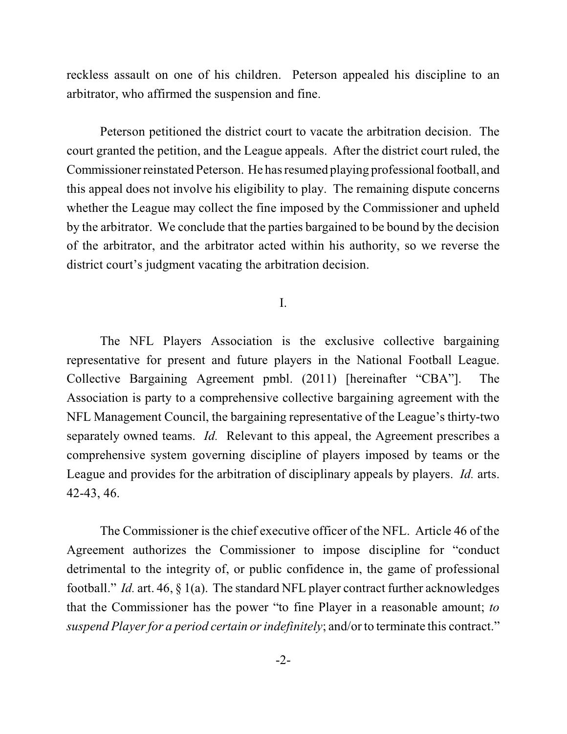reckless assault on one of his children. Peterson appealed his discipline to an arbitrator, who affirmed the suspension and fine.

Peterson petitioned the district court to vacate the arbitration decision. The court granted the petition, and the League appeals. After the district court ruled, the Commissioner reinstated Peterson. He has resumed playing professional football, and this appeal does not involve his eligibility to play. The remaining dispute concerns whether the League may collect the fine imposed by the Commissioner and upheld by the arbitrator. We conclude that the parties bargained to be bound by the decision of the arbitrator, and the arbitrator acted within his authority, so we reverse the district court's judgment vacating the arbitration decision.

I.

The NFL Players Association is the exclusive collective bargaining representative for present and future players in the National Football League. Collective Bargaining Agreement pmbl. (2011) [hereinafter "CBA"]. The Association is party to a comprehensive collective bargaining agreement with the NFL Management Council, the bargaining representative of the League's thirty-two separately owned teams. *Id.* Relevant to this appeal, the Agreement prescribes a comprehensive system governing discipline of players imposed by teams or the League and provides for the arbitration of disciplinary appeals by players. *Id.* arts. 42-43, 46.

The Commissioner is the chief executive officer of the NFL. Article 46 of the Agreement authorizes the Commissioner to impose discipline for "conduct detrimental to the integrity of, or public confidence in, the game of professional football." *Id.* art. 46, § 1(a). The standard NFL player contract further acknowledges that the Commissioner has the power "to fine Player in a reasonable amount; *to suspend Player for a period certain or indefinitely; and/or to terminate this contract."*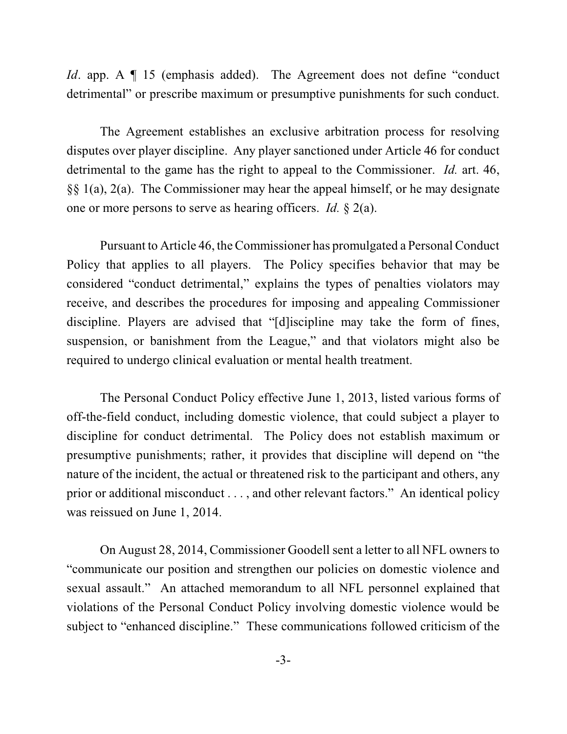*Id.* app. A  $\P$  15 (emphasis added). The Agreement does not define "conduct" detrimental" or prescribe maximum or presumptive punishments for such conduct.

The Agreement establishes an exclusive arbitration process for resolving disputes over player discipline. Any player sanctioned under Article 46 for conduct detrimental to the game has the right to appeal to the Commissioner. *Id.* art. 46, §§ 1(a), 2(a). The Commissioner may hear the appeal himself, or he may designate one or more persons to serve as hearing officers. *Id.* § 2(a).

Pursuant to Article 46, the Commissioner has promulgated a Personal Conduct Policy that applies to all players. The Policy specifies behavior that may be considered "conduct detrimental," explains the types of penalties violators may receive, and describes the procedures for imposing and appealing Commissioner discipline. Players are advised that "[d]iscipline may take the form of fines, suspension, or banishment from the League," and that violators might also be required to undergo clinical evaluation or mental health treatment.

The Personal Conduct Policy effective June 1, 2013, listed various forms of off-the-field conduct, including domestic violence, that could subject a player to discipline for conduct detrimental. The Policy does not establish maximum or presumptive punishments; rather, it provides that discipline will depend on "the nature of the incident, the actual or threatened risk to the participant and others, any prior or additional misconduct . . . , and other relevant factors." An identical policy was reissued on June 1, 2014.

On August 28, 2014, Commissioner Goodell sent a letter to all NFL owners to "communicate our position and strengthen our policies on domestic violence and sexual assault." An attached memorandum to all NFL personnel explained that violations of the Personal Conduct Policy involving domestic violence would be subject to "enhanced discipline." These communications followed criticism of the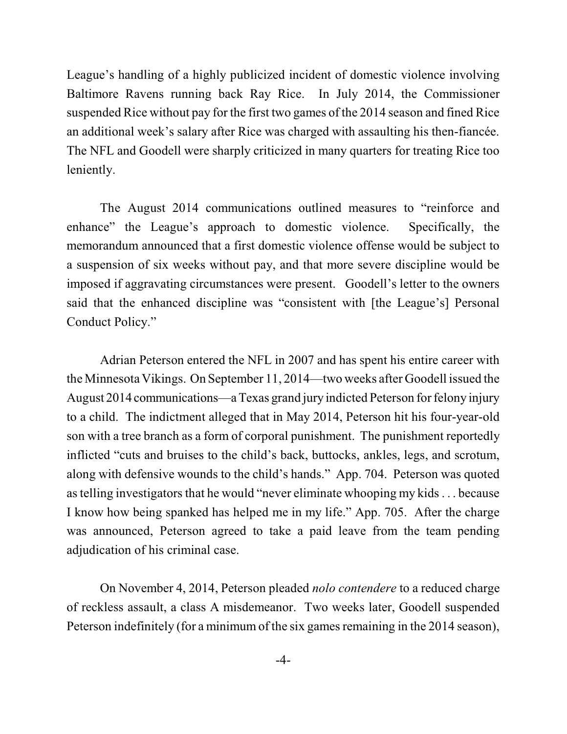League's handling of a highly publicized incident of domestic violence involving Baltimore Ravens running back Ray Rice. In July 2014, the Commissioner suspended Rice without pay for the first two games of the 2014 season and fined Rice an additional week's salary after Rice was charged with assaulting his then-fiancée. The NFL and Goodell were sharply criticized in many quarters for treating Rice too leniently.

The August 2014 communications outlined measures to "reinforce and enhance" the League's approach to domestic violence. Specifically, the memorandum announced that a first domestic violence offense would be subject to a suspension of six weeks without pay, and that more severe discipline would be imposed if aggravating circumstances were present. Goodell's letter to the owners said that the enhanced discipline was "consistent with [the League's] Personal Conduct Policy."

Adrian Peterson entered the NFL in 2007 and has spent his entire career with the Minnesota Vikings. On September 11, 2014—two weeks after Goodell issued the August 2014 communications—a Texas grand jury indicted Peterson for felony injury to a child. The indictment alleged that in May 2014, Peterson hit his four-year-old son with a tree branch as a form of corporal punishment. The punishment reportedly inflicted "cuts and bruises to the child's back, buttocks, ankles, legs, and scrotum, along with defensive wounds to the child's hands." App. 704. Peterson was quoted astelling investigators that he would "never eliminate whooping my kids. . . because I know how being spanked has helped me in my life." App. 705. After the charge was announced, Peterson agreed to take a paid leave from the team pending adjudication of his criminal case.

On November 4, 2014, Peterson pleaded *nolo contendere* to a reduced charge of reckless assault, a class A misdemeanor. Two weeks later, Goodell suspended Peterson indefinitely (for a minimum of the six games remaining in the 2014 season),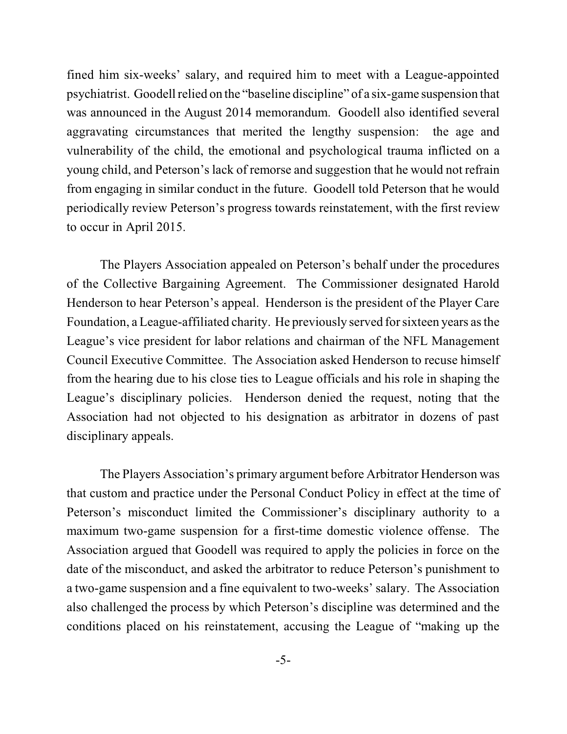fined him six-weeks' salary, and required him to meet with a League-appointed psychiatrist. Goodellrelied on the "baseline discipline" of a six-game suspension that was announced in the August 2014 memorandum. Goodell also identified several aggravating circumstances that merited the lengthy suspension: the age and vulnerability of the child, the emotional and psychological trauma inflicted on a young child, and Peterson's lack of remorse and suggestion that he would not refrain from engaging in similar conduct in the future. Goodell told Peterson that he would periodically review Peterson's progress towards reinstatement, with the first review to occur in April 2015.

The Players Association appealed on Peterson's behalf under the procedures of the Collective Bargaining Agreement. The Commissioner designated Harold Henderson to hear Peterson's appeal. Henderson is the president of the Player Care Foundation, a League-affiliated charity. He previously served for sixteen years asthe League's vice president for labor relations and chairman of the NFL Management Council Executive Committee. The Association asked Henderson to recuse himself from the hearing due to his close ties to League officials and his role in shaping the League's disciplinary policies. Henderson denied the request, noting that the Association had not objected to his designation as arbitrator in dozens of past disciplinary appeals.

The Players Association's primary argument before Arbitrator Henderson was that custom and practice under the Personal Conduct Policy in effect at the time of Peterson's misconduct limited the Commissioner's disciplinary authority to a maximum two-game suspension for a first-time domestic violence offense. The Association argued that Goodell was required to apply the policies in force on the date of the misconduct, and asked the arbitrator to reduce Peterson's punishment to a two-game suspension and a fine equivalent to two-weeks' salary. The Association also challenged the process by which Peterson's discipline was determined and the conditions placed on his reinstatement, accusing the League of "making up the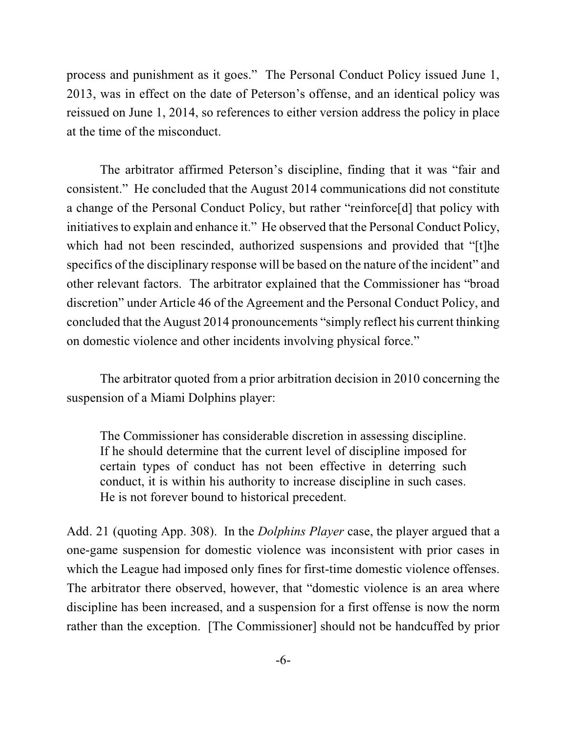process and punishment as it goes." The Personal Conduct Policy issued June 1, 2013, was in effect on the date of Peterson's offense, and an identical policy was reissued on June 1, 2014, so references to either version address the policy in place at the time of the misconduct.

The arbitrator affirmed Peterson's discipline, finding that it was "fair and consistent." He concluded that the August 2014 communications did not constitute a change of the Personal Conduct Policy, but rather "reinforce[d] that policy with initiatives to explain and enhance it." He observed that the Personal Conduct Policy, which had not been rescinded, authorized suspensions and provided that "[t]he specifics of the disciplinary response will be based on the nature of the incident" and other relevant factors. The arbitrator explained that the Commissioner has "broad discretion" under Article 46 of the Agreement and the Personal Conduct Policy, and concluded that the August 2014 pronouncements "simply reflect his current thinking on domestic violence and other incidents involving physical force."

The arbitrator quoted from a prior arbitration decision in 2010 concerning the suspension of a Miami Dolphins player:

The Commissioner has considerable discretion in assessing discipline. If he should determine that the current level of discipline imposed for certain types of conduct has not been effective in deterring such conduct, it is within his authority to increase discipline in such cases. He is not forever bound to historical precedent.

Add. 21 (quoting App. 308). In the *Dolphins Player* case, the player argued that a one-game suspension for domestic violence was inconsistent with prior cases in which the League had imposed only fines for first-time domestic violence offenses. The arbitrator there observed, however, that "domestic violence is an area where discipline has been increased, and a suspension for a first offense is now the norm rather than the exception. [The Commissioner] should not be handcuffed by prior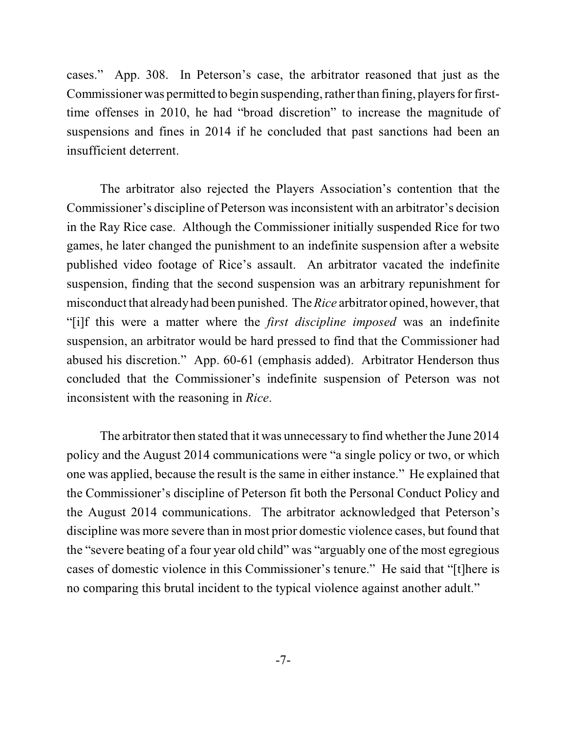cases." App. 308. In Peterson's case, the arbitrator reasoned that just as the Commissioner was permitted to begin suspending, rather than fining, players for firsttime offenses in 2010, he had "broad discretion" to increase the magnitude of suspensions and fines in 2014 if he concluded that past sanctions had been an insufficient deterrent.

The arbitrator also rejected the Players Association's contention that the Commissioner's discipline of Peterson wasinconsistent with an arbitrator's decision in the Ray Rice case. Although the Commissioner initially suspended Rice for two games, he later changed the punishment to an indefinite suspension after a website published video footage of Rice's assault. An arbitrator vacated the indefinite suspension, finding that the second suspension was an arbitrary repunishment for misconduct that already had been punished. The *Rice* arbitrator opined, however, that "[i]f this were a matter where the *first discipline imposed* was an indefinite suspension, an arbitrator would be hard pressed to find that the Commissioner had abused his discretion." App. 60-61 (emphasis added). Arbitrator Henderson thus concluded that the Commissioner's indefinite suspension of Peterson was not inconsistent with the reasoning in *Rice*.

The arbitrator then stated that it was unnecessary to find whether the June 2014 policy and the August 2014 communications were "a single policy or two, or which one was applied, because the result is the same in either instance." He explained that the Commissioner's discipline of Peterson fit both the Personal Conduct Policy and the August 2014 communications. The arbitrator acknowledged that Peterson's discipline was more severe than in most prior domestic violence cases, but found that the "severe beating of a four year old child" was "arguably one of the most egregious cases of domestic violence in this Commissioner's tenure." He said that "[t]here is no comparing this brutal incident to the typical violence against another adult."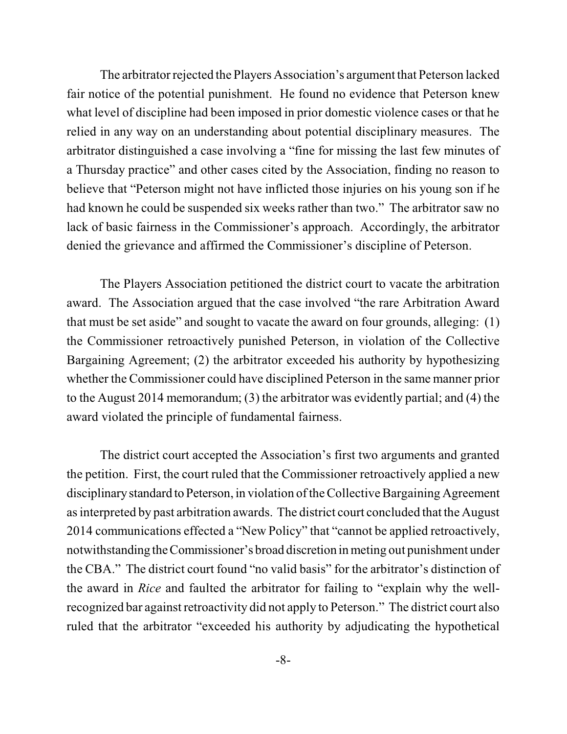The arbitrator rejected the Players Association's argument that Peterson lacked fair notice of the potential punishment. He found no evidence that Peterson knew what level of discipline had been imposed in prior domestic violence cases or that he relied in any way on an understanding about potential disciplinary measures. The arbitrator distinguished a case involving a "fine for missing the last few minutes of a Thursday practice" and other cases cited by the Association, finding no reason to believe that "Peterson might not have inflicted those injuries on his young son if he had known he could be suspended six weeks rather than two." The arbitrator saw no lack of basic fairness in the Commissioner's approach. Accordingly, the arbitrator denied the grievance and affirmed the Commissioner's discipline of Peterson.

The Players Association petitioned the district court to vacate the arbitration award. The Association argued that the case involved "the rare Arbitration Award that must be set aside" and sought to vacate the award on four grounds, alleging: (1) the Commissioner retroactively punished Peterson, in violation of the Collective Bargaining Agreement; (2) the arbitrator exceeded his authority by hypothesizing whether the Commissioner could have disciplined Peterson in the same manner prior to the August 2014 memorandum; (3) the arbitrator was evidently partial; and (4) the award violated the principle of fundamental fairness.

The district court accepted the Association's first two arguments and granted the petition. First, the court ruled that the Commissioner retroactively applied a new disciplinarystandard to Peterson, in violation ofthe Collective Bargaining Agreement asinterpreted by past arbitration awards. The district court concluded that the August 2014 communications effected a "New Policy" that "cannot be applied retroactively, notwithstanding theCommissioner's broad discretion in meting out punishment under the CBA." The district court found "no valid basis" for the arbitrator's distinction of the award in *Rice* and faulted the arbitrator for failing to "explain why the wellrecognized bar against retroactivity did not apply to Peterson." The district court also ruled that the arbitrator "exceeded his authority by adjudicating the hypothetical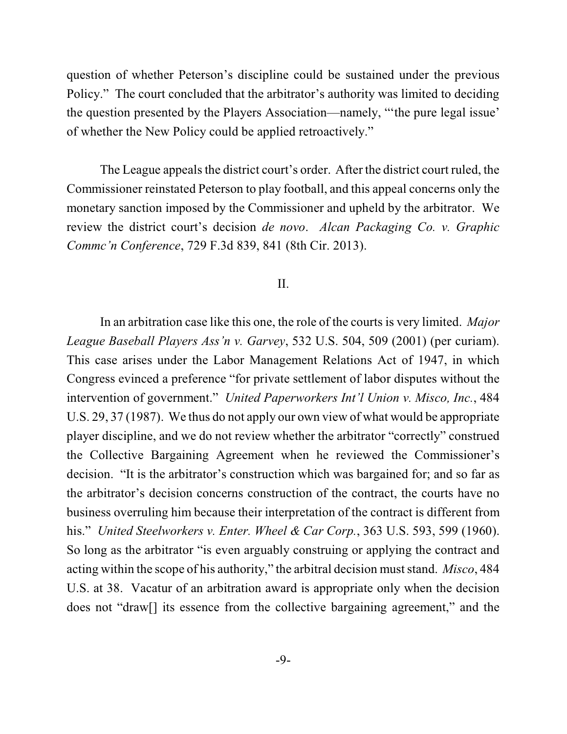question of whether Peterson's discipline could be sustained under the previous Policy." The court concluded that the arbitrator's authority was limited to deciding the question presented by the Players Association—namely, "'the pure legal issue' of whether the New Policy could be applied retroactively."

The League appeals the district court's order. After the district court ruled, the Commissioner reinstated Peterson to play football, and this appeal concerns only the monetary sanction imposed by the Commissioner and upheld by the arbitrator. We review the district court's decision *de novo*. *Alcan Packaging Co. v. Graphic Commc'n Conference*, 729 F.3d 839, 841 (8th Cir. 2013).

## II.

In an arbitration case like this one, the role of the courts is very limited. *Major League Baseball Players Ass'n v. Garvey*, 532 U.S. 504, 509 (2001) (per curiam). This case arises under the Labor Management Relations Act of 1947, in which Congress evinced a preference "for private settlement of labor disputes without the intervention of government." *United Paperworkers Int'l Union v. Misco, Inc.*, 484 U.S. 29, 37 (1987). We thus do not apply our own view of what would be appropriate player discipline, and we do not review whether the arbitrator "correctly" construed the Collective Bargaining Agreement when he reviewed the Commissioner's decision. "It is the arbitrator's construction which was bargained for; and so far as the arbitrator's decision concerns construction of the contract, the courts have no business overruling him because their interpretation of the contract is different from his." *United Steelworkers v. Enter. Wheel & Car Corp.*, 363 U.S. 593, 599 (1960). So long as the arbitrator "is even arguably construing or applying the contract and acting within the scope of his authority," the arbitral decision must stand. *Misco*, 484 U.S. at 38. Vacatur of an arbitration award is appropriate only when the decision does not "draw[] its essence from the collective bargaining agreement," and the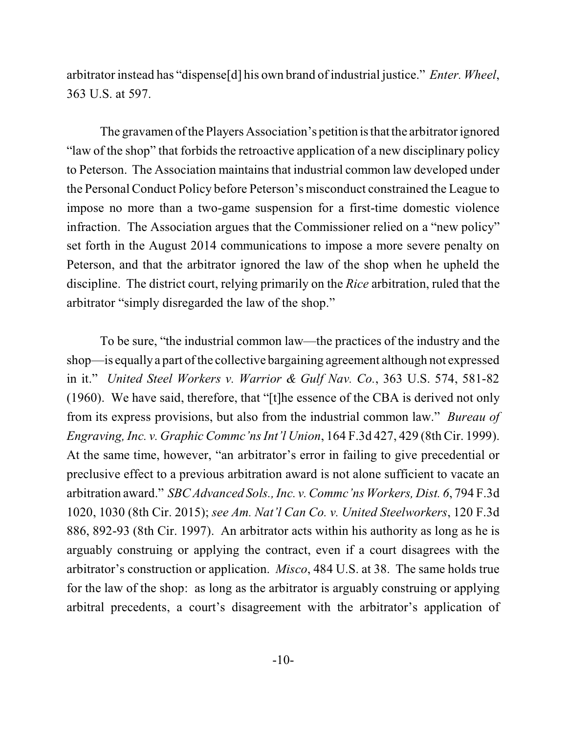arbitrator instead has "dispense[d] his own brand of industrial justice." *Enter. Wheel*, 363 U.S. at 597.

The gravamen of the Players Association's petition is that the arbitrator ignored "law of the shop" that forbids the retroactive application of a new disciplinary policy to Peterson. The Association maintains that industrial common law developed under the Personal Conduct Policy before Peterson's misconduct constrained the League to impose no more than a two-game suspension for a first-time domestic violence infraction. The Association argues that the Commissioner relied on a "new policy" set forth in the August 2014 communications to impose a more severe penalty on Peterson, and that the arbitrator ignored the law of the shop when he upheld the discipline. The district court, relying primarily on the *Rice* arbitration, ruled that the arbitrator "simply disregarded the law of the shop."

To be sure, "the industrial common law—the practices of the industry and the shop—is equallya part ofthe collective bargaining agreement although not expressed in it." *United Steel Workers v. Warrior & Gulf Nav. Co.*, 363 U.S. 574, 581-82 (1960). We have said, therefore, that "[t]he essence of the CBA is derived not only from its express provisions, but also from the industrial common law." *Bureau of Engraving, Inc. v. Graphic Commc'ns Int'l Union*, 164 F.3d 427, 429 (8th Cir. 1999). At the same time, however, "an arbitrator's error in failing to give precedential or preclusive effect to a previous arbitration award is not alone sufficient to vacate an arbitration award." *SBCAdvanced Sols., Inc. v. Commc'ns Workers, Dist. 6*, 794 F.3d 1020, 1030 (8th Cir. 2015); *see Am. Nat'l Can Co. v. United Steelworkers*, 120 F.3d 886, 892-93 (8th Cir. 1997). An arbitrator acts within his authority as long as he is arguably construing or applying the contract, even if a court disagrees with the arbitrator's construction or application. *Misco*, 484 U.S. at 38. The same holds true for the law of the shop: as long as the arbitrator is arguably construing or applying arbitral precedents, a court's disagreement with the arbitrator's application of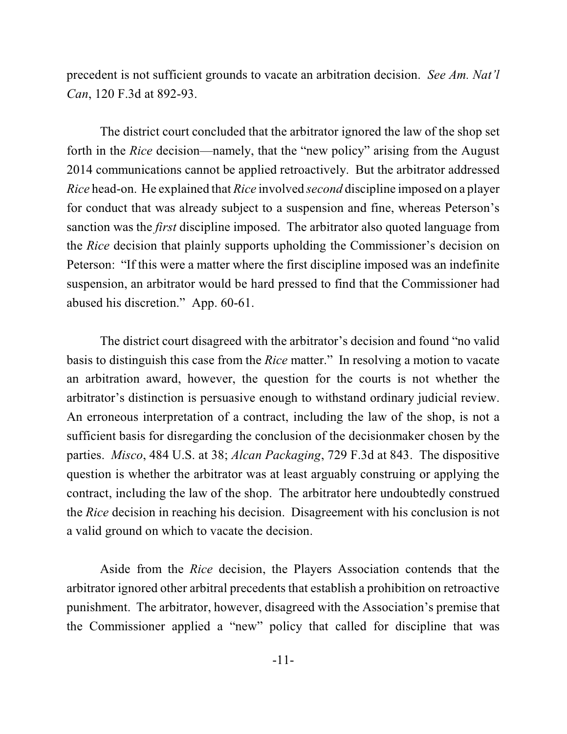precedent is not sufficient grounds to vacate an arbitration decision. *See Am. Nat'l Can*, 120 F.3d at 892-93.

The district court concluded that the arbitrator ignored the law of the shop set forth in the *Rice* decision—namely, that the "new policy" arising from the August 2014 communications cannot be applied retroactively. But the arbitrator addressed *Rice* head-on. He explained that *Rice* involved *second* discipline imposed on a player for conduct that was already subject to a suspension and fine, whereas Peterson's sanction was the *first* discipline imposed. The arbitrator also quoted language from the *Rice* decision that plainly supports upholding the Commissioner's decision on Peterson: "If this were a matter where the first discipline imposed was an indefinite suspension, an arbitrator would be hard pressed to find that the Commissioner had abused his discretion." App. 60-61.

The district court disagreed with the arbitrator's decision and found "no valid basis to distinguish this case from the *Rice* matter." In resolving a motion to vacate an arbitration award, however, the question for the courts is not whether the arbitrator's distinction is persuasive enough to withstand ordinary judicial review. An erroneous interpretation of a contract, including the law of the shop, is not a sufficient basis for disregarding the conclusion of the decisionmaker chosen by the parties. *Misco*, 484 U.S. at 38; *Alcan Packaging*, 729 F.3d at 843. The dispositive question is whether the arbitrator was at least arguably construing or applying the contract, including the law of the shop. The arbitrator here undoubtedly construed the *Rice* decision in reaching his decision. Disagreement with his conclusion is not a valid ground on which to vacate the decision.

Aside from the *Rice* decision, the Players Association contends that the arbitrator ignored other arbitral precedents that establish a prohibition on retroactive punishment. The arbitrator, however, disagreed with the Association's premise that the Commissioner applied a "new" policy that called for discipline that was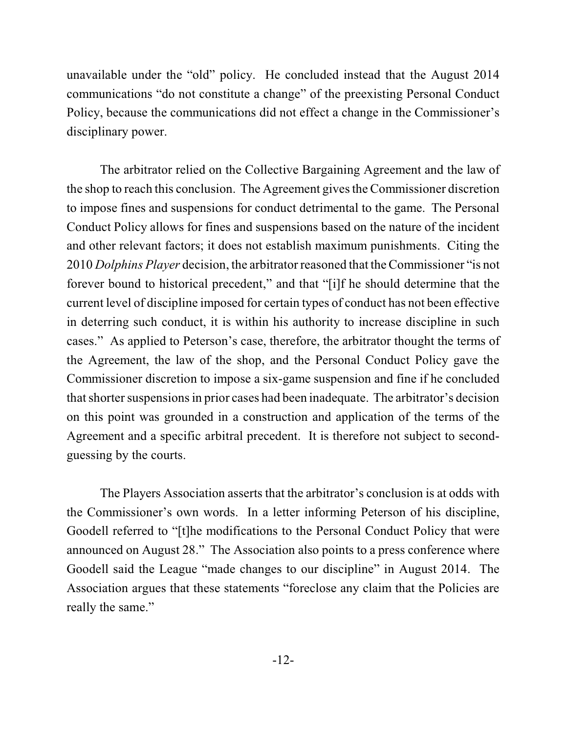unavailable under the "old" policy. He concluded instead that the August 2014 communications "do not constitute a change" of the preexisting Personal Conduct Policy, because the communications did not effect a change in the Commissioner's disciplinary power.

The arbitrator relied on the Collective Bargaining Agreement and the law of the shop to reach this conclusion. The Agreement gives the Commissioner discretion to impose fines and suspensions for conduct detrimental to the game. The Personal Conduct Policy allows for fines and suspensions based on the nature of the incident and other relevant factors; it does not establish maximum punishments. Citing the 2010 *Dolphins Player* decision, the arbitrator reasoned that the Commissioner "is not forever bound to historical precedent," and that "[i]f he should determine that the current level of discipline imposed for certain types of conduct has not been effective in deterring such conduct, it is within his authority to increase discipline in such cases." As applied to Peterson's case, therefore, the arbitrator thought the terms of the Agreement, the law of the shop, and the Personal Conduct Policy gave the Commissioner discretion to impose a six-game suspension and fine if he concluded thatshorter suspensions in prior cases had been inadequate. The arbitrator's decision on this point was grounded in a construction and application of the terms of the Agreement and a specific arbitral precedent. It is therefore not subject to secondguessing by the courts.

The Players Association asserts that the arbitrator's conclusion is at odds with the Commissioner's own words. In a letter informing Peterson of his discipline, Goodell referred to "[t]he modifications to the Personal Conduct Policy that were announced on August 28." The Association also points to a press conference where Goodell said the League "made changes to our discipline" in August 2014. The Association argues that these statements "foreclose any claim that the Policies are really the same."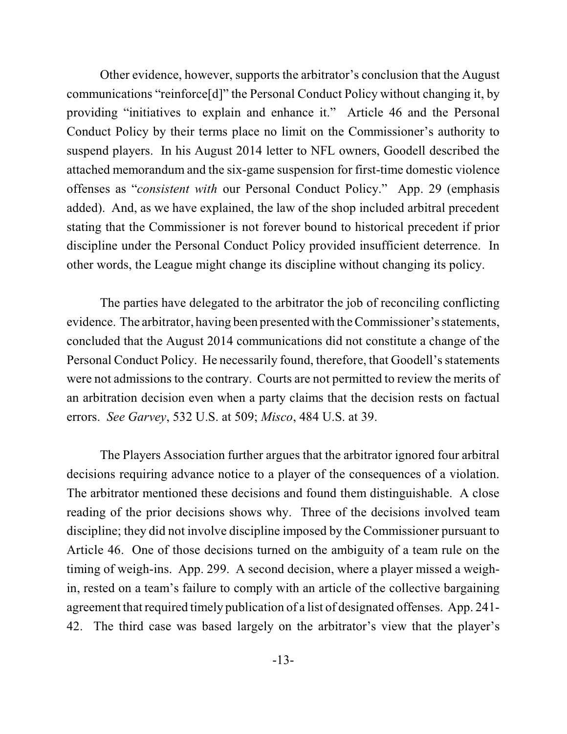Other evidence, however, supports the arbitrator's conclusion that the August communications "reinforce[d]" the Personal Conduct Policy without changing it, by providing "initiatives to explain and enhance it." Article 46 and the Personal Conduct Policy by their terms place no limit on the Commissioner's authority to suspend players. In his August 2014 letter to NFL owners, Goodell described the attached memorandum and the six-game suspension for first-time domestic violence offenses as "*consistent with* our Personal Conduct Policy." App. 29 (emphasis added). And, as we have explained, the law of the shop included arbitral precedent stating that the Commissioner is not forever bound to historical precedent if prior discipline under the Personal Conduct Policy provided insufficient deterrence. In other words, the League might change its discipline without changing its policy.

The parties have delegated to the arbitrator the job of reconciling conflicting evidence. The arbitrator, having been presented with the Commissioner's statements, concluded that the August 2014 communications did not constitute a change of the Personal Conduct Policy. He necessarily found, therefore, that Goodell's statements were not admissions to the contrary. Courts are not permitted to review the merits of an arbitration decision even when a party claims that the decision rests on factual errors. *See Garvey*, 532 U.S. at 509; *Misco*, 484 U.S. at 39.

The Players Association further argues that the arbitrator ignored four arbitral decisions requiring advance notice to a player of the consequences of a violation. The arbitrator mentioned these decisions and found them distinguishable. A close reading of the prior decisions shows why. Three of the decisions involved team discipline; they did not involve discipline imposed by the Commissioner pursuant to Article 46. One of those decisions turned on the ambiguity of a team rule on the timing of weigh-ins. App. 299. A second decision, where a player missed a weighin, rested on a team's failure to comply with an article of the collective bargaining agreement that required timely publication of a list of designated offenses. App. 241-42. The third case was based largely on the arbitrator's view that the player's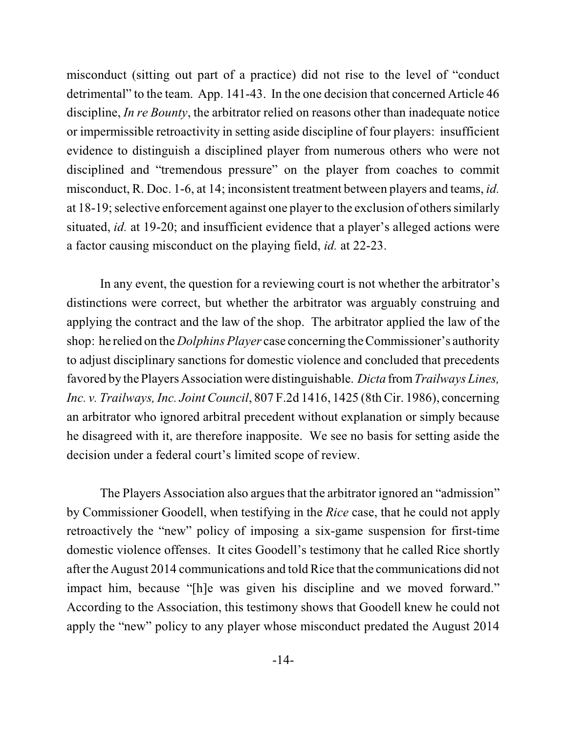misconduct (sitting out part of a practice) did not rise to the level of "conduct detrimental" to the team. App. 141-43. In the one decision that concerned Article 46 discipline, *In re Bounty*, the arbitrator relied on reasons other than inadequate notice or impermissible retroactivity in setting aside discipline of four players: insufficient evidence to distinguish a disciplined player from numerous others who were not disciplined and "tremendous pressure" on the player from coaches to commit misconduct, R. Doc. 1-6, at 14; inconsistent treatment between players and teams, *id.* at 18-19; selective enforcement against one player to the exclusion of others similarly situated, *id.* at 19-20; and insufficient evidence that a player's alleged actions were a factor causing misconduct on the playing field, *id.* at 22-23.

In any event, the question for a reviewing court is not whether the arbitrator's distinctions were correct, but whether the arbitrator was arguably construing and applying the contract and the law of the shop. The arbitrator applied the law of the shop: he relied on the *Dolphins Player* case concerning the Commissioner's authority to adjust disciplinary sanctions for domestic violence and concluded that precedents favored by the Players Association were distinguishable. *Dicta* from*Trailways Lines, Inc. v. Trailways, Inc. Joint Council,* 807 F.2d 1416, 1425 (8th Cir. 1986), concerning an arbitrator who ignored arbitral precedent without explanation or simply because he disagreed with it, are therefore inapposite. We see no basis for setting aside the decision under a federal court's limited scope of review.

The Players Association also argues that the arbitrator ignored an "admission" by Commissioner Goodell, when testifying in the *Rice* case, that he could not apply retroactively the "new" policy of imposing a six-game suspension for first-time domestic violence offenses. It cites Goodell's testimony that he called Rice shortly after the August 2014 communications and told Rice that the communications did not impact him, because "[h]e was given his discipline and we moved forward." According to the Association, this testimony shows that Goodell knew he could not apply the "new" policy to any player whose misconduct predated the August 2014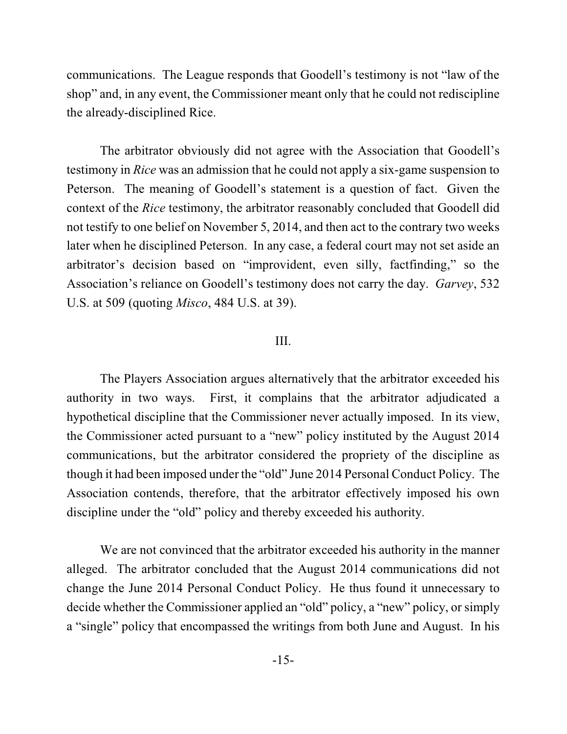communications. The League responds that Goodell's testimony is not "law of the shop" and, in any event, the Commissioner meant only that he could not rediscipline the already-disciplined Rice.

The arbitrator obviously did not agree with the Association that Goodell's testimony in *Rice* was an admission that he could not apply a six-game suspension to Peterson. The meaning of Goodell's statement is a question of fact. Given the context of the *Rice* testimony, the arbitrator reasonably concluded that Goodell did not testify to one belief on November 5, 2014, and then act to the contrary two weeks later when he disciplined Peterson. In any case, a federal court may not set aside an arbitrator's decision based on "improvident, even silly, factfinding," so the Association's reliance on Goodell's testimony does not carry the day. *Garvey*, 532 U.S. at 509 (quoting *Misco*, 484 U.S. at 39).

## III.

The Players Association argues alternatively that the arbitrator exceeded his authority in two ways. First, it complains that the arbitrator adjudicated a hypothetical discipline that the Commissioner never actually imposed. In its view, the Commissioner acted pursuant to a "new" policy instituted by the August 2014 communications, but the arbitrator considered the propriety of the discipline as though it had been imposed under the "old" June 2014 Personal Conduct Policy. The Association contends, therefore, that the arbitrator effectively imposed his own discipline under the "old" policy and thereby exceeded his authority.

We are not convinced that the arbitrator exceeded his authority in the manner alleged. The arbitrator concluded that the August 2014 communications did not change the June 2014 Personal Conduct Policy. He thus found it unnecessary to decide whether the Commissioner applied an "old" policy, a "new" policy, or simply a "single" policy that encompassed the writings from both June and August. In his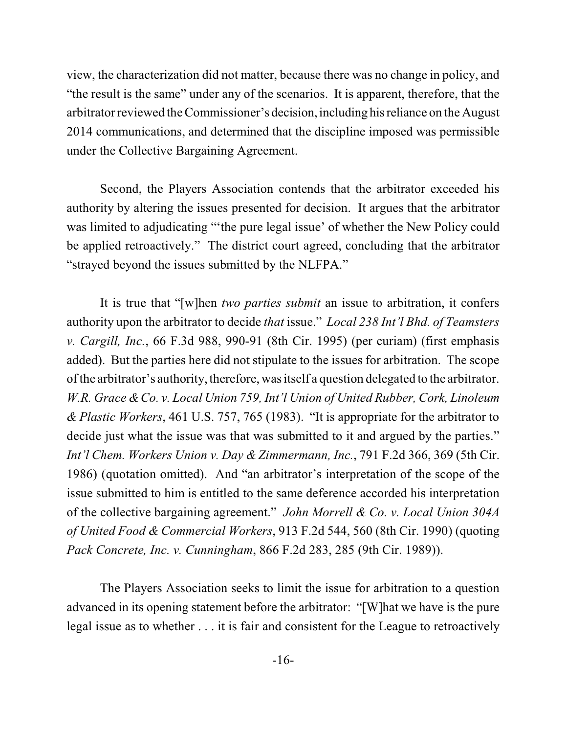view, the characterization did not matter, because there was no change in policy, and "the result is the same" under any of the scenarios. It is apparent, therefore, that the arbitrator reviewed the Commissioner's decision, including his reliance on the August 2014 communications, and determined that the discipline imposed was permissible under the Collective Bargaining Agreement.

Second, the Players Association contends that the arbitrator exceeded his authority by altering the issues presented for decision. It argues that the arbitrator was limited to adjudicating "'the pure legal issue' of whether the New Policy could be applied retroactively." The district court agreed, concluding that the arbitrator "strayed beyond the issues submitted by the NLFPA."

It is true that "[w]hen *two parties submit* an issue to arbitration, it confers authority upon the arbitrator to decide *that* issue." *Local 238 Int'l Bhd. of Teamsters v. Cargill, Inc.*, 66 F.3d 988, 990-91 (8th Cir. 1995) (per curiam) (first emphasis added). But the parties here did not stipulate to the issues for arbitration. The scope ofthe arbitrator's authority, therefore, wasitself a question delegated to the arbitrator. *W.R. Grace &Co. v. Local Union 759, Int'l Union of United Rubber, Cork, Linoleum & Plastic Workers*, 461 U.S. 757, 765 (1983). "It is appropriate for the arbitrator to decide just what the issue was that was submitted to it and argued by the parties." *Int'l Chem. Workers Union v. Day & Zimmermann, Inc.*, 791 F.2d 366, 369 (5th Cir. 1986) (quotation omitted). And "an arbitrator's interpretation of the scope of the issue submitted to him is entitled to the same deference accorded his interpretation of the collective bargaining agreement." *John Morrell & Co. v. Local Union 304A of United Food & Commercial Workers*, 913 F.2d 544, 560 (8th Cir. 1990) (quoting *Pack Concrete, Inc. v. Cunningham*, 866 F.2d 283, 285 (9th Cir. 1989)).

The Players Association seeks to limit the issue for arbitration to a question advanced in its opening statement before the arbitrator: "[W]hat we have is the pure legal issue as to whether . . . it is fair and consistent for the League to retroactively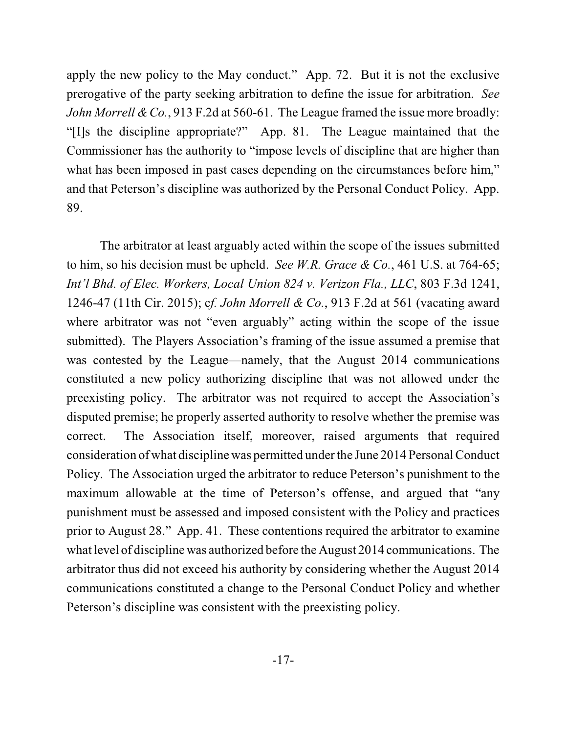apply the new policy to the May conduct." App. 72. But it is not the exclusive prerogative of the party seeking arbitration to define the issue for arbitration. *See John Morrell &Co.*, 913 F.2d at 560-61. The League framed the issue more broadly: "[I]s the discipline appropriate?" App. 81. The League maintained that the Commissioner has the authority to "impose levels of discipline that are higher than what has been imposed in past cases depending on the circumstances before him," and that Peterson's discipline was authorized by the Personal Conduct Policy. App. 89.

The arbitrator at least arguably acted within the scope of the issues submitted to him, so his decision must be upheld. *See W.R. Grace & Co.*, 461 U.S. at 764-65; *Int'l Bhd. of Elec. Workers, Local Union 824 v. Verizon Fla., LLC*, 803 F.3d 1241, 1246-47 (11th Cir. 2015); c*f. John Morrell & Co.*, 913 F.2d at 561 (vacating award where arbitrator was not "even arguably" acting within the scope of the issue submitted).The Players Association's framing of the issue assumed a premise that was contested by the League—namely, that the August 2014 communications constituted a new policy authorizing discipline that was not allowed under the preexisting policy. The arbitrator was not required to accept the Association's disputed premise; he properly asserted authority to resolve whether the premise was correct. The Association itself, moreover, raised arguments that required consideration of what discipline was permitted under the June 2014 PersonalConduct Policy. The Association urged the arbitrator to reduce Peterson's punishment to the maximum allowable at the time of Peterson's offense, and argued that "any punishment must be assessed and imposed consistent with the Policy and practices prior to August 28." App. 41. These contentions required the arbitrator to examine what level of discipline was authorized before the August 2014 communications. The arbitrator thus did not exceed his authority by considering whether the August 2014 communications constituted a change to the Personal Conduct Policy and whether Peterson's discipline was consistent with the preexisting policy.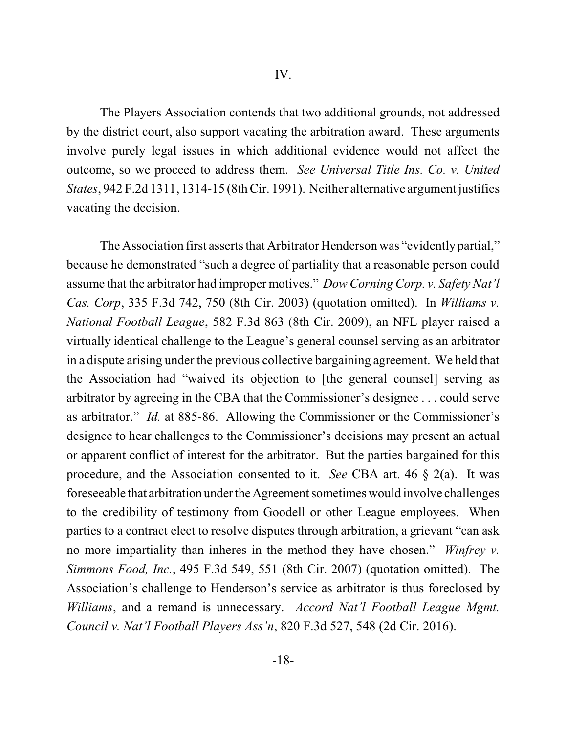The Players Association contends that two additional grounds, not addressed by the district court, also support vacating the arbitration award. These arguments involve purely legal issues in which additional evidence would not affect the outcome, so we proceed to address them. *See Universal Title Ins. Co. v. United States*, 942 F.2d 1311, 1314-15 (8thCir. 1991). Neither alternative argument justifies vacating the decision.

The Association first asserts that Arbitrator Henderson was "evidently partial," because he demonstrated "such a degree of partiality that a reasonable person could assume that the arbitrator had improper motives." *Dow Corning Corp. v. Safety Nat'l Cas. Corp*, 335 F.3d 742, 750 (8th Cir. 2003) (quotation omitted). In *Williams v. National Football League*, 582 F.3d 863 (8th Cir. 2009), an NFL player raised a virtually identical challenge to the League's general counsel serving as an arbitrator in a dispute arising under the previous collective bargaining agreement. We held that the Association had "waived its objection to [the general counsel] serving as arbitrator by agreeing in the CBA that the Commissioner's designee . . . could serve as arbitrator." *Id.* at 885-86. Allowing the Commissioner or the Commissioner's designee to hear challenges to the Commissioner's decisions may present an actual or apparent conflict of interest for the arbitrator. But the parties bargained for this procedure, and the Association consented to it. *See* CBA art. 46 § 2(a). It was fore seeable that arbitration under the Agreement sometimes would involve challenges to the credibility of testimony from Goodell or other League employees. When parties to a contract elect to resolve disputes through arbitration, a grievant "can ask no more impartiality than inheres in the method they have chosen." *Winfrey v. Simmons Food, Inc.*, 495 F.3d 549, 551 (8th Cir. 2007) (quotation omitted). The Association's challenge to Henderson's service as arbitrator is thus foreclosed by *Williams*, and a remand is unnecessary. *Accord Nat'l Football League Mgmt. Council v. Nat'l Football Players Ass'n*, 820 F.3d 527, 548 (2d Cir. 2016).